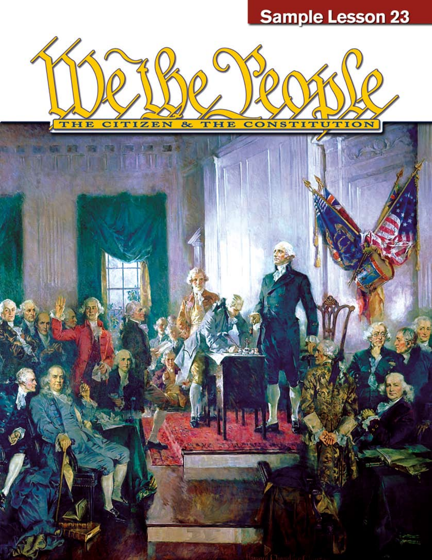# **Sample Lesson 23**

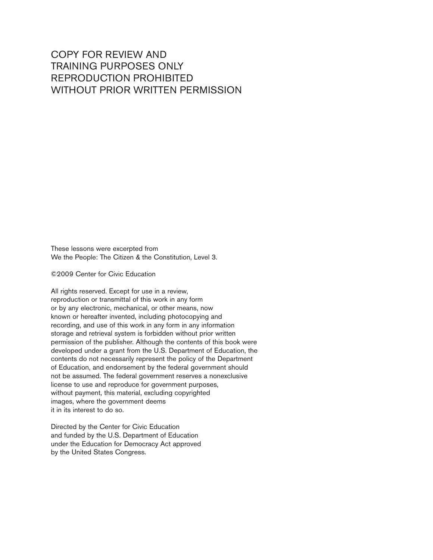# COPY FOR REVIEW AND TRAINING PURPOSES ONLY REPRODUCTION PROHIBITED WITHOUT PRIOR WRITTEN PERMISSION

These lessons were excerpted from We the People: The Citizen & the Constitution, Level 3.

©2009 Center for Civic Education

All rights reserved. Except for use in a review, reproduction or transmittal of this work in any form or by any electronic, mechanical, or other means, now known or hereafter invented, including photocopying and recording, and use of this work in any form in any information storage and retrieval system is forbidden without prior written permission of the publisher. Although the contents of this book were developed under a grant from the U.S. Department of Education, the contents do not necessarily represent the policy of the Department of Education, and endorsement by the federal government should not be assumed. The federal government reserves a nonexclusive license to use and reproduce for government purposes, without payment, this material, excluding copyrighted images, where the government deems it in its interest to do so.

Directed by the Center for Civic Education and funded by the U.S. Department of Education under the Education for Democracy Act approved by the United States Congress.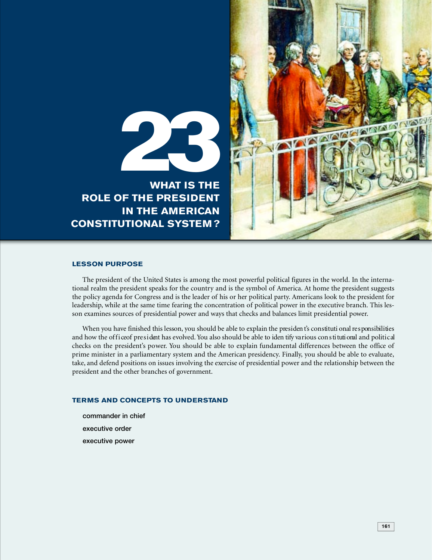**WHAT IS THE ROLE OF THE PRESIDENT IN THE AMERICAN CONSTITUTIONAL SYSTEM?**

**23**



# **LESSON PURPOSE**

The president of the United States is among the most powerful political figures in the world. In the international realm the president speaks for the country and is the symbol of America. At home the president suggests the policy agenda for Congress and is the leader of his or her political party. Americans look to the president for leadership, while at the same time fearing the concentration of political power in the executive branch. This lesson examines sources of presidential power and ways that checks and balances limit presidential power.

When you have finished this lesson, you should be able to explain the president's constituti onal responsibilities and how the office of president has evolved. You also should be able to iden tify various constitutional and political checks on the president's power. You should be able to explain fundamental differences between the office of prime minister in a parliamentary system and the American presidency. Finally, you should be able to evaluate, take, and defend positions on issues involving the exercise of presidential power and the relationship between the president and the other branches of government.

## **TERMS AND CONCEPTS TO UNDERSTAND**

commander in chief executive order executive power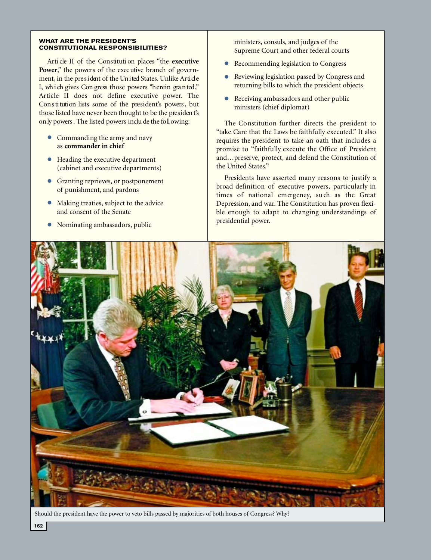#### **WHAT ARE THE PRESIDENT'S CONSTITUTIONAL RESPONSIBILITIES?**

Arti cle II of the Constituti on places "the executive **Power**," the powers of the executive branch of government, in the president of the United States. Unlike Article I, which gives Con gress those powers "herein granted," Article II does not define executive power. The Constitution lists some of the president's powers, but those listed have never been thought to be the president's only powers. The listed powers inclu de the following:

- Commanding the army and navy as commander in chief
- $\bullet$  Heading the executive department (cabinet and executive departments)
- Granting reprieves, or postponement of punishment, and pardons
- Making treaties, subject to the advice and consent of the Senate
- Nominating ambassadors, public

ministers, consuls, and judges of the Supreme Court and other federal courts

- Recommending legislation to Congress
- Reviewing legislation passed by Congress and returning bills to which the president objects
- Receiving ambassadors and other public ministers (chief diplomat)

The Constitution further directs the president to "take Care that the Laws be faithfully executed." It also requires the president to take an oath that includes a promise to "faithfully execute the Office of President" and...preserve, protect, and defend the Constitution of the United States."

Presidents have asserted many reasons to justify a broad definition of executive powers, particularly in times of national emergency, such as the Great Depression, and war. The Constitution has proven flexible enough to adapt to changing understandings of presidential power.



Should the president have the power to veto bills passed by majorities of both houses of Congress? Why?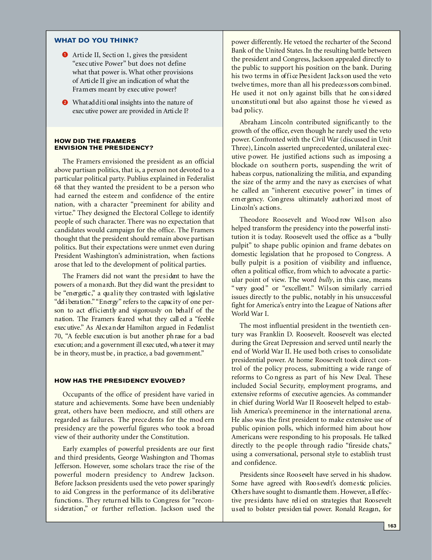# **WHAT DO YOU THINK?**

- $\bullet$  Arti cle II, Secti on 1, gives the president "exec utive Power" but does not define what that power is. What other provisions of Article II give an indication of what the Framers meant by exec utive power?
- **2** What additional insights into the nature of exec utive power are provi ded in Arti cle I?

#### **HOW DID THE FRAMERS ENVISION THE PRESIDENCY?**

The Framers envisioned the president as an official above partisan politics, that is, a person not devoted to a particular political party. Publius explained in Federalist 68 that they wanted the president to be a person who had earned the esteem and confidence of the entire nation, with a character "preeminent for ability and virtue." They designed the Electoral College to identify people of such character. There was no expectation that candidates would campaign for the office. The Framers thought that the president should remain above partisan politics. But their expectations were unmet even during President Washington's administration, when factions arose that led to the development of political parties.

The Framers did not want the president to have the powers of a monarch. But they did want the president to be "energetic," a quality they contrasted with legislative "del i beration." "Energy" refers to the capacity of one person to act efficiently and vigorously on behalf of the nation. The Framers feared what they call ed a "feeble" exec utive." As Alexander Hamilton argued in Federalist 70, "A feeble execution is but another ph rase for a bad exec ution; and a government ill exec uted, wh a tever it may be in theory, must be, in practice, a bad government."

#### **HOW HAS THE PRESIDENCY EVOLVED?**

Occupants of the office of president have varied in stature and achievements. Some have been undeniably great, others have been mediocre, and still others are regarded as failures. The precedents for the mod ern presidency are the powerful figures who took a broad view of their authority under the Constitution.

Early examples of powerful presidents are our first and third presidents, George Washington and Thomas Jefferson. However, some scholars trace the rise of the powerful modern presidency to Andrew Jackson. Before Jackson presidents used the veto power sparingly to aid Congress in the performance of its deliberative functions. They returned bills to Congress for "reconsideration," or further reflection. Jackson used the

power differently. He vetoed the recharter of the Second Bank of the United States. In the resulting battle between the president and Congress, Jackson appealed directly to the public to support his position on the bank. During his two terms in office President Jackson used the veto twelve times, more than all his predecessors combined. He used it not only against bills that he considered un constituti onal but also against those he viewed as bad policy.

Abraham Lincoln contributed significantly to the growth of the office, even though he rarely used the veto power. Confronted with the Civil War (discussed in Unit Three), Lincoln asserted unprecedented, unilateral executive power. He justified actions such as imposing a blockade on southern ports, suspending the writ of habeas corpus, nationalizing the militia, and expanding the size of the army and the navy as exercises of what he called an "inherent executive power" in times of em er gency. Con gress ultimately authorized most of  $Lin$  ching actions

Theodore Roosevelt and Wood row Wilson also helped transform the presidency into the powerful institution it is today. Roosevelt used the office as a "bully pulpit" to shape public opinion and frame debates on domestic legislation that he proposed to Congress. A bully pulpit is a position of visibility and influence, often a political office, from which to advocate a particular point of view. The word *bully*, in this case, means " very good" or "excellent." Wilson similarly carried issues directly to the public, notably in his unsuccessful fight for America's entry into the League of Nations after World War I.

The most influential president in the twentieth century was Franklin D. Roosevelt. Roosevelt was elected during the Great Depression and served until nearly the end of World War II. He used both crises to consolidate presidential power. At home Roosevelt took direct control of the policy process, submitting a wide range of reforms to Co ngress as part of his New Deal. These included Social Security, employment programs, and extensive reforms of executive agencies. As commander in chief during World War II Roosevelt helped to establish America's preeminence in the international arena. He also was the first president to make extensive use of public opinion polls, which informed him about how Americans were responding to his proposals. He talked directly to the people through radio "fireside chats," using a conversational, personal style to establish trust and confidence.

Presidents since Roo sevelt have served in his shadow. Some have agreed with Roo s evelt's domestic policies. Others have sought to dismantle them. However, all effective presidents have relied on strategies that Roosevelt used to bolster presiden tial power. Ronald Reagan, for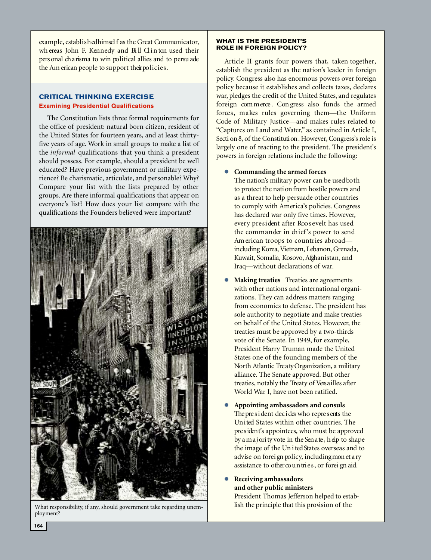example, established himsel f as the Great Communicator, wh ereas John F. Kennedy and Bill Clinton used their pers onal ch a risma to win political allies and to persu ade the Am erican people to support their policies.

# **CRITICAL THINKING EXERCISE Examining Presidential Qualifications**

The Constitution lists three formal requirements for the office of president: natural born citizen, resident of the United States for fourteen years, and at least thirtyfive years of age. Work in small groups to make a list of the *informal* qualifications that you think a president should possess. For example, should a president be well educated? Have previous government or military experience? Be charismatic, articulate, and personable? Why? Compare your list with the lists prepared by other groups. Are there informal qualifications that appear on everyone's list? How does your list compare with the qualifications the Founders believed were important?



What responsibility, if any, should government take regarding unem-<br>
lish the principle that this provision of the ployment?

#### **WHAT IS THE PRESIDENT'S ROLE IN FOREIGN POLICY?**

Article II grants four powers that, taken together, establish the president as the nation's leader in foreign policy. Congress also has enormous powers over foreign policy because it establishes and collects taxes, declares war, pledges the credit of the United States, and regulates foreign commerce. Congress also funds the armed forces, makes rules governing them—the Uniform Code of Military Justice—and makes rules related to "Captures on Land and Water," as contained in Article I, Secti on 8, of the Constitution. However, Congress's role is largely one of reacting to the president. The president's powers in foreign relations include the following:

**Commanding the armed forces** 

The nation's military power can be used both to protect the nati on from hostile powers and as a threat to help persuade other countries to comply with America's policies. Congress has declared war only five times. However, every president after Roo s evelt has used the commander in chief's power to send Am erican troops to countries abroadincluding Korea, Vietnam, Lebanon, Grenada, Kuwait, Somalia, Kosovo, Afghanistan, and Iraq—without declarations of war.

- **Making treaties** Treaties are agreements with other nations and international organizations. They can address matters ranging from economics to defense. The president has sole authority to negotiate and make treaties on behalf of the United States. However, the treaties must be approved by a two-thirds vote of the Senate. In 1949, for example, President Harry Truman made the United States one of the founding members of the North Atlantic Treaty Organization, a military alliance. The Senate approved. But other treaties, notably the Treaty of Versailles after World War I, have not been ratified.
- Appointing ambassadors and consuls The pre s i dent decides who represents the United States within other countries. The pre s ident's appointees, who must be approved by a majority vote in the Senate, help to shape the image of the Un i ted States overseas and to advise on forei gn policy, including mon et a ry assistance to other countries, or forei gn aid.
- **•** Receiving ambassadors **and other public ministers** President Thomas Jefferson helped to estab-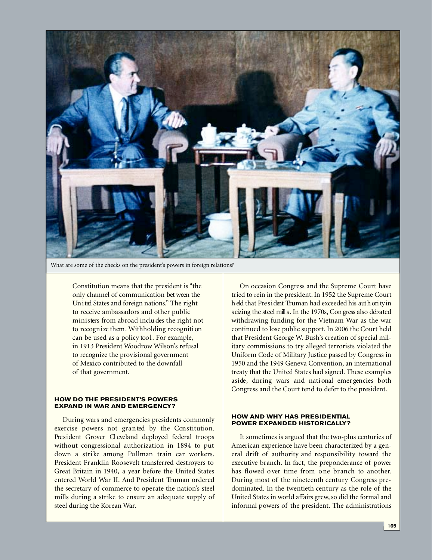

What are some of the checks on the president's powers in foreign relations?

Constitution means that the president is "the only channel of communication bet ween the Un i ted States and foreign nations." The right to receive ambassadors and other public ministers from abroad includes the right not to recognize them. Withholding recognition can be used as a policy tool. For example, in 1913 President Woodrow Wilson's refusal to recognize the provisional government of Mexico contributed to the downfall of that government.

#### **HOW DO THE PRESIDENT'S POWERS EXPAND IN WAR AND EMERGENCY?**

During wars and emergencies presidents commonly exercise powers not granted by the Constitution. President Grover Cl eveland deployed federal troops without congressional authorization in 1894 to put down a strike among Pullman train car workers. President Franklin Roosevelt transferred destroyers to Great Britain in 1940, a year before the United States entered World War II. And President Truman ordered the secretary of commerce to operate the nation's steel mills during a strike to ensure an adeq uate supply of steel during the Korean War.

On occasion Congress and the Supreme Court have tried to rein in the president.In 1952 the Supreme Court h eld that President Truman had exceeded his authority in s eizing the steel mill s. In the 1970s, Con gress also debated withdrawing funding for the Vietnam War as the war continued to lose public support. In 2006 the Court held that President George W. Bush's creation of special military commissions to try alleged terrorists violated the Uniform Code of Military Justice passed by Congress in 1950 and the 1949 Geneva Convention, an international treaty that the United States had signed. These examples aside, during wars and national emergencies both Congress and the Court tend to defer to the president.

#### **HOW AND WHY HAS PRESIDENTIAL POWER EXPANDED HISTORICALLY?**

It sometimes is argued that the two-plus centuries of American experience have been characterized by a general drift of authority and responsibility toward the executive branch. In fact, the preponderance of power has flowed over time from one branch to another. During most of the nineteenth century Congress predominated. In the twentieth century as the role of the United States in world affairs grew, so did the formal and informal powers of the president. The administrations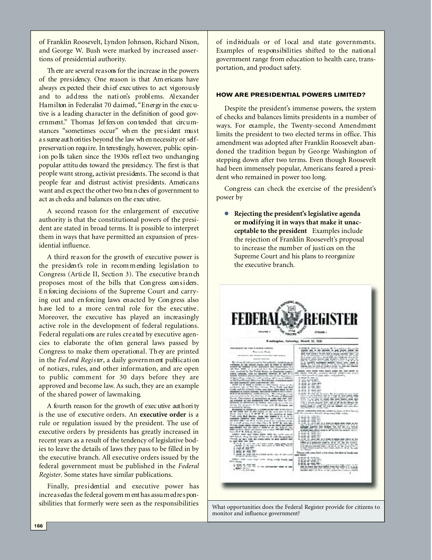of Franklin Roosevelt, Lyndon Johnson, Richard Nixon, and George W. Bush were marked by increased assertions of presidential authority.

Th ere are several reasons for the increase in the powers of the presidency. One reason is that Americans have always expected their chief executives to act vigorously and to address the nation's problems. Alexander Hamilton in Federalist 70 daimed, "Energy in the executive is a leading character in the definition of good government." Thomas Jeffers on contended that circumstances "sometimes occur" when the president must a s sume authorities beyond the law wh en necessity or selfpreservation require. In terestingly, however, public opinion polls taken since the 1930s reflect two unchanging popular attitudes toward the presidency. The first is that people want strong, activist presidents. The second is that people fear and distrust activist presidents. Americans want and expect the other two bran ches of government to act as checks and balances on the executive.

A second reason for the enlargement of executive authority is that the constitutional powers of the president are stated in broad terms. It is possible to interpret them in ways that have permitted an expansion of presidential influence.

A third reason for the growth of executive power is the president's role in recommending legislation to Congress (Article II, Section 3). The executive branch proposes most of the bills that Congress considers. Enforcing decisions of the Supreme Court and carrying out and enforcing laws enacted by Congress also have led to a more central role for the executive. Moreover, the executive has played an increasingly active role in the development of federal regulations. Federal regulations are rules created by executive agencies to elaborate the often general laws passed by Congress to make them operational. They are printed in the Federal Register, a daily government publication of notices, rules, and other information, and are open to public comment for 30 days before they are approved and become law. As such, they are an example of the shared power of lawmaking.

A fourth reason for the growth of executive authority is the use of executive orders. An executive order is a rule or regulation issued by the president. The use of executive orders by presidents has greatly increased in recent years as a result of the tendency of legislative bodies to leave the details of laws they pass to be filled in by the executive branch. All executive orders issued by the federal government must be published in the Federal Register. Some states have similar publications.

Finally, presidential and executive power has increasedas the federal govern m ent has assumed responsibilities that formerly were seen as the responsibilities of individuals or of local and state governments. Examples of responsibilities shifted to the national government range from education to health care, transportation, and product safety.

#### **HOW ARE PRESIDENTIAL POWERS LIMITED?**

Despite the president's immense powers, the system of checks and balances limits presidents in a number of ways. For example, the Twenty-second Amendment limits the president to two elected terms in office. This amendment was adopted after Franklin Roosevelt abandoned the tradition begun by George Washington of stepping down after two terms. Even though Roosevelt had been immensely popular, Americans feared a president who remained in power too long.

Congress can check the exercise of the president's power by

Rejecting the president's legislative agenda or modifying it in ways that make it unacceptable to the president Examples include the rejection of Franklin Roosevelt's proposal to increase the number of justices on the Supreme Court and his plans to reorganize the executive branch.



What opportunities does the Federal Register provide for citizens to monitor and influence government?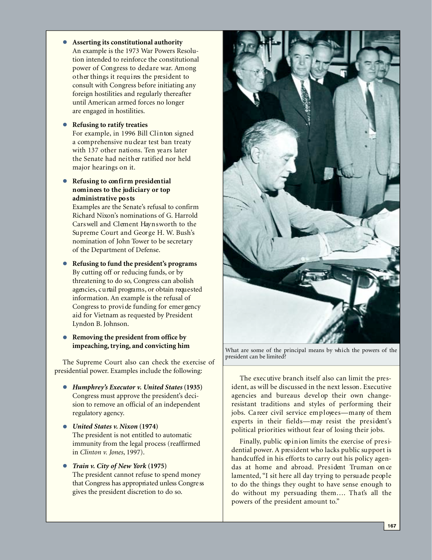# <sup>V</sup> **Asserting its constitutional authority**

An example is the 1973 War Powers Resolution intended to reinforce the constitutional power of Congress to dedare war. Among o ther things it requires the president to consult with Congress before initiating any foreign hostilities and regularly thereafter until American armed forces no longer are engaged in hostilities.

# **•** Refusing to ratify treaties

For example, in 1996 Bill Clinton signed a comprehensive nu clear test ban treaty with 137 other nations. Ten years later the Senate had neither ratified nor held major hearings on it.

**Refusing to confirm presidential nomines to the judiciary or top** administrative posts

Examples are the Senate's refusal to confirm Richard Nixon's nominations of G. Harrold Cars well and Clement Hayns worth to the Supreme Court and George H. W. Bush's nomination of John Tower to be secretary of the Department of Defense.

- <sup>V</sup> **Refusing to fund the president's programs** By cutting off or reducing funds, or by threatening to do so, Congress can abolish agencies, cu rtail programs, or obtain requested information. An example is the refusal of Congress to provide funding for emergency aid for Vietnam as requested by President Lyndon B. Johnson.
- **Removing the president from office by impeaching, trying, and convicting him**

The Supreme Court also can check the exercise of presidential power. Examples include the following:

- <sup>V</sup> *Humphrey's Executor v. United States* **( 1 9 3 5 )** Congress must approve the president's decision to remove an official of an independent regulatory agency.
- <sup>V</sup> *United States v. Nixon* **(1974)** The president is not entitled to automatic immunity from the legal process (reaffirmed in *Clinton v. Jones*, 1997).
- <sup>V</sup> *Train v. City of New York* **(1975)** The president cannot refuse to spend money that Congress has appropriated unless Congre ss gives the president discretion to do so.



What are some of the principal means by which the powers of the president can be limited?

The executive branch itself also can limit the president, as will be discussed in the next lesson. Executive agencies and bureaus develop their own changeresistant traditions and styles of performing their jobs. Ca reer civil service employees—many of them experts in their fields-may resist the president's political priorities without fear of losing their jobs.

Finally, public opinion limits the exercise of presidential power. A president who lacks public support is handcuffed in his efforts to carry out his policy agendas at home and abroad. President Truman once lamented, "I sit here all day trying to persuade people to do the things they ought to have sense enough to do without my persuading them.... That's all the powers of the president amount to."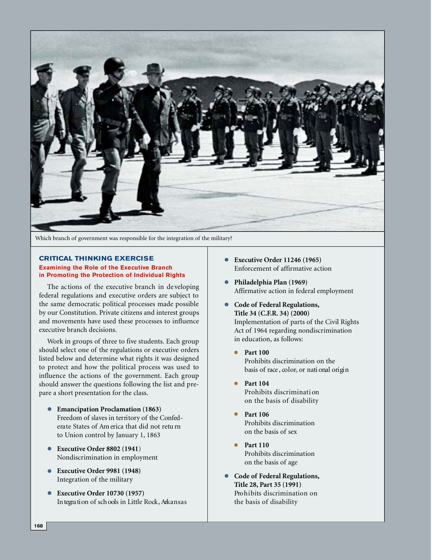

Which branch of government was responsible for the integration of the military?

#### **CRITICAL THINKING EXERCISE**

#### **Examining the Role of the Executive Branch in Promoting the Protection of Individual Rights**

The actions of the executive branch in de veloping federal regulations and executive orders are subject to the same democratic political processes made possible by our Constitution. Private citizens and interest groups and movements have used these processes to influence executive branch decisions.

Work in groups of three to five students. Each group should select one of the regulations or executive orders listed below and determine what rights it was designed to protect and how the political process was used to influence the actions of the government. Each group should answer the questions following the list and prepare a short presentation for the class.

- <sup>V</sup> **Emancipation Proclamation (1863)** Freedom of slaves in territory of the Confederate States of Am erica that did not return to Union control by January 1, 1863
- <sup>V</sup> **Executive Order 8802 (1941**) Nondiscrimination in employment
- <sup>V</sup> **Executive Order 9981 (1948)** Integration of the military
- <sup>V</sup> **Executive Order 10730 (1957)** In tegration of schools in Little Rock, Arkansas
- **Executive Order 11246 (1965)** Enforcement of affirmative action
- <sup>V</sup> **Philadelphia Plan (1969)** Affirmative action in federal employment
- <sup>V</sup> **Code of Federal Regulations, Title 34 (C.F.R. 34) (2000)** Implementation of parts of the Civil Rights Act of 1964 regarding nondiscrimination in education, as follows:
	- **•** Part 100 Prohibits discrimination on the basis of race, color, or national origin
	- **•** Part 104 Prohibits discrimination on the basis of disability
	- **•** Part 106 Prohibits discrimination on the basis of sex
	- **•** Part 110 Prohibits discrimination on the basis of age
- <sup>V</sup> **Code of Federal Regulations, Title 28, Part 35 (1991)** Prohibits discrimination on the basis of disability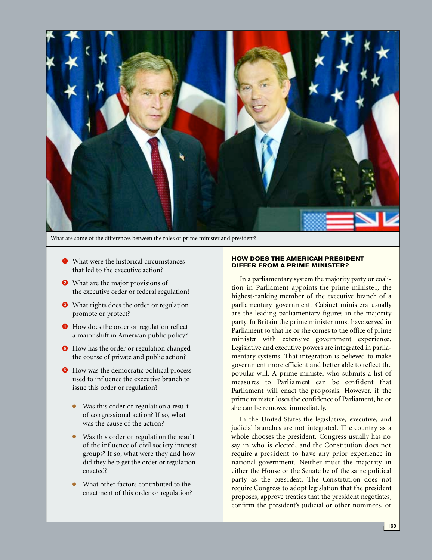

What are some of the differences between the roles of prime minister and president?

- **1** What were the historical circumstances that led to the executive action?
- **2** What are the major provisions of the executive order or federal regulation?
- <sup>3</sup> What rights does the order or regulation promote or protect?
- <sup>4</sup> How does the order or regulation reflect a major shift in American public policy?
- **5** How has the order or regulation changed the course of private and public action?
- 6 How was the democratic political process used to influence the executive branch to issue this order or regulation?
	- $\bullet$  Was this order or regulation a result of congressional action? If so, what was the cause of the action?
	- $\bullet$  Was this order or regulation the result of the influence of civil society interest groups? If so, what were they and how did they help get the order or regulation enacted?
	- What other factors contributed to the enactment of this order or regulation?

#### **HOW DOES THE AMERICAN PRESIDENT DIFFER FROM A PRIME MINISTER?**

In a parliamentary system the majority party or coalition in Parliament appoints the prime ministe r, the highest-ranking member of the executive branch of a parliamentary government. Cabinet ministers usually are the leading parliamentary figures in the majority party. In Britain the prime minister must have served in Parliament so that he or she comes to the office of prime minister with extensive government experience. Legislative and executive powers are integrated in parliamentary systems. That integration is believed to make government more efficient and better able to reflect the popular will. A prime minister who submits a list of measures to Parliament can be confident that Parliament will enact the proposals. However, if the prime minister loses the confidence of Parliament, he or she can be removed immediately.

In the United States the legislative, executive, and judicial branches are not integrated. The country as a whole chooses the president. Congress usually has no say in who is elected, and the Constitution does not require a president to have any prior experience in national government. Neither must the majority in either the House or the Senate be of the same political party as the president. The Constitution does not require Congress to adopt legislation that the president proposes, approve treaties that the president negotiates, confirm the president's judicial or other nominees, or